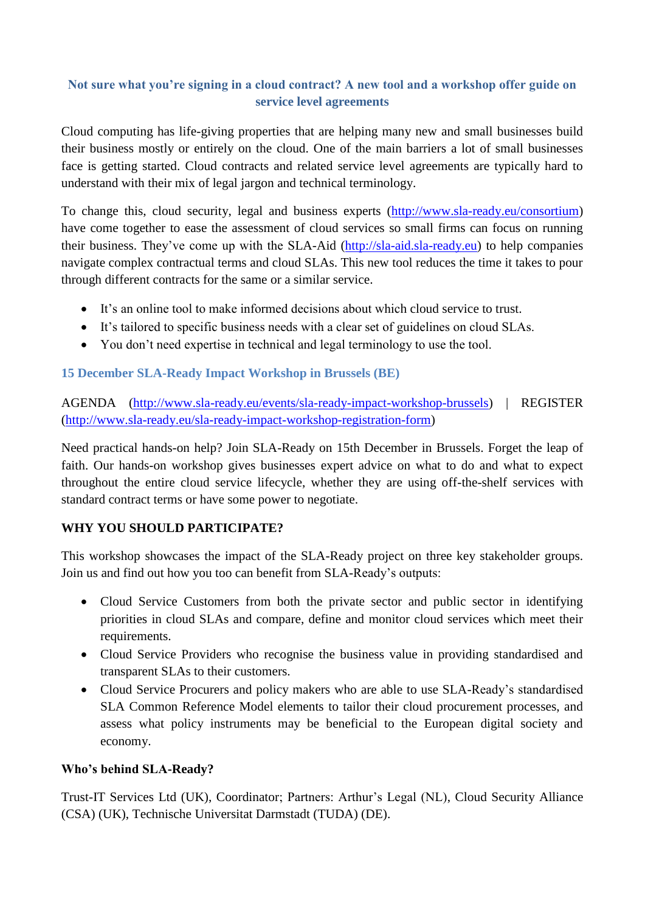# **Not sure what you're signing in a cloud contract? A new tool and a workshop offer guide on service level agreements**

Cloud computing has life-giving properties that are helping many new and small businesses build their business mostly or entirely on the cloud. One of the main barriers a lot of small businesses face is getting started. Cloud contracts and related service level agreements are typically hard to understand with their mix of legal jargon and technical terminology.

To change this, cloud security, legal and business experts [\(http://www.sla-ready.eu/consortium\)](http://www.sla-ready.eu/consortium) have come together to ease the assessment of cloud services so small firms can focus on running their business. They've come up with the SLA-Aid [\(http://sla-aid.sla-ready.eu\)](http://sla-aid.sla-ready.eu/) to help companies navigate complex contractual terms and cloud SLAs. This new tool reduces the time it takes to pour through different contracts for the same or a similar service.

- It's an online tool to make informed decisions about which cloud service to trust.
- It's tailored to specific business needs with a clear set of guidelines on cloud SLAs.
- You don't need expertise in technical and legal terminology to use the tool.

## **15 December SLA-Ready Impact Workshop in Brussels (BE)**

AGENDA [\(http://www.sla-ready.eu/events/sla-ready-impact-workshop-brussels\)](http://www.sla-ready.eu/events/sla-ready-impact-workshop-brussels) | REGISTER [\(http://www.sla-ready.eu/sla-ready-impact-workshop-registration-form\)](http://www.sla-ready.eu/sla-ready-impact-workshop-registration-form)

Need practical hands-on help? Join SLA-Ready on 15th December in Brussels. Forget the leap of faith. Our hands-on workshop gives businesses expert advice on what to do and what to expect throughout the entire cloud service lifecycle, whether they are using off-the-shelf services with standard contract terms or have some power to negotiate.

## **WHY YOU SHOULD PARTICIPATE?**

This workshop showcases the impact of the SLA-Ready project on three key stakeholder groups. Join us and find out how you too can benefit from SLA-Ready's outputs:

- Cloud Service Customers from both the private sector and public sector in identifying priorities in cloud SLAs and compare, define and monitor cloud services which meet their requirements.
- Cloud Service Providers who recognise the business value in providing standardised and transparent SLAs to their customers.
- Cloud Service Procurers and policy makers who are able to use SLA-Ready's standardised SLA Common Reference Model elements to tailor their cloud procurement processes, and assess what policy instruments may be beneficial to the European digital society and economy.

#### **Who's behind SLA-Ready?**

Trust-IT Services Ltd (UK), Coordinator; Partners: Arthur's Legal (NL), Cloud Security Alliance (CSA) (UK), Technische Universitat Darmstadt (TUDA) (DE).